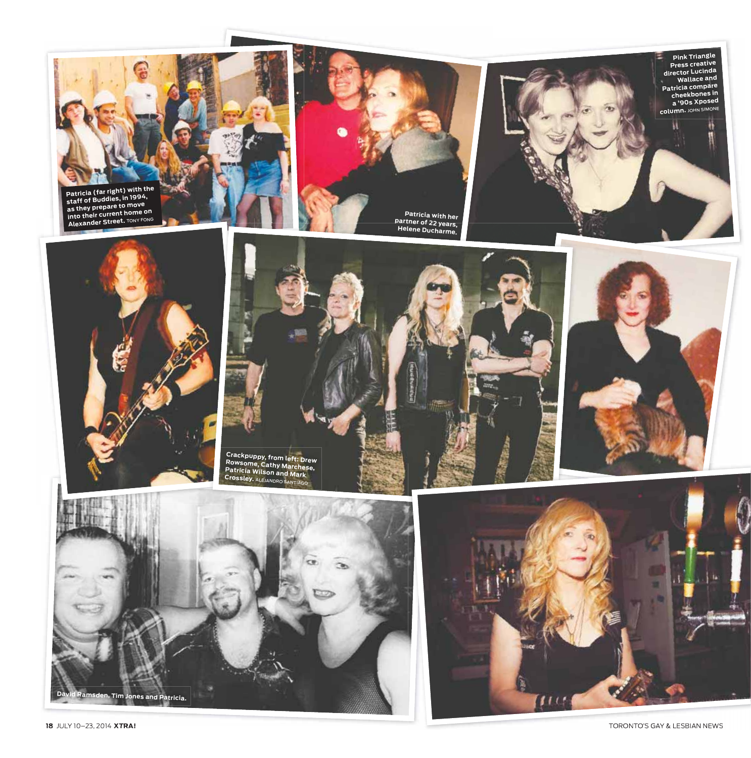